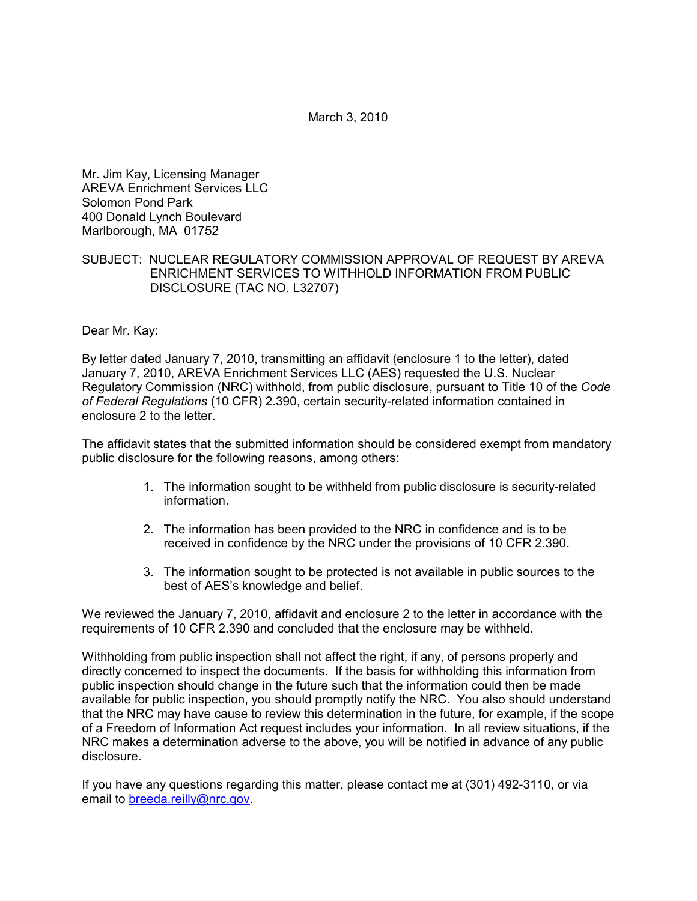March 3, 2010

Mr. Jim Kay, Licensing Manager AREVA Enrichment Services LLC Solomon Pond Park 400 Donald Lynch Boulevard Marlborough, MA 01752

### SUBJECT: NUCLEAR REGULATORY COMMISSION APPROVAL OF REQUEST BY AREVA ENRICHMENT SERVICES TO WITHHOLD INFORMATION FROM PUBLIC DISCLOSURE (TAC NO. L32707)

### Dear Mr. Kay:

By letter dated January 7, 2010, transmitting an affidavit (enclosure 1 to the letter), dated January 7, 2010, AREVA Enrichment Services LLC (AES) requested the U.S. Nuclear Regulatory Commission (NRC) withhold, from public disclosure, pursuant to Title 10 of the *Code of Federal Regulations* (10 CFR) 2.390, certain security-related information contained in enclosure 2 to the letter.

The affidavit states that the submitted information should be considered exempt from mandatory public disclosure for the following reasons, among others:

- 1. The information sought to be withheld from public disclosure is security-related information.
- 2. The information has been provided to the NRC in confidence and is to be received in confidence by the NRC under the provisions of 10 CFR 2.390.
- 3. The information sought to be protected is not available in public sources to the best of AES's knowledge and belief.

We reviewed the January 7, 2010, affidavit and enclosure 2 to the letter in accordance with the requirements of 10 CFR 2.390 and concluded that the enclosure may be withheld.

Withholding from public inspection shall not affect the right, if any, of persons properly and directly concerned to inspect the documents. If the basis for withholding this information from public inspection should change in the future such that the information could then be made available for public inspection, you should promptly notify the NRC. You also should understand that the NRC may have cause to review this determination in the future, for example, if the scope of a Freedom of Information Act request includes your information. In all review situations, if the NRC makes a determination adverse to the above, you will be notified in advance of any public disclosure.

If you have any questions regarding this matter, please contact me at (301) 492-3110, or via email to breeda.reilly@nrc.gov.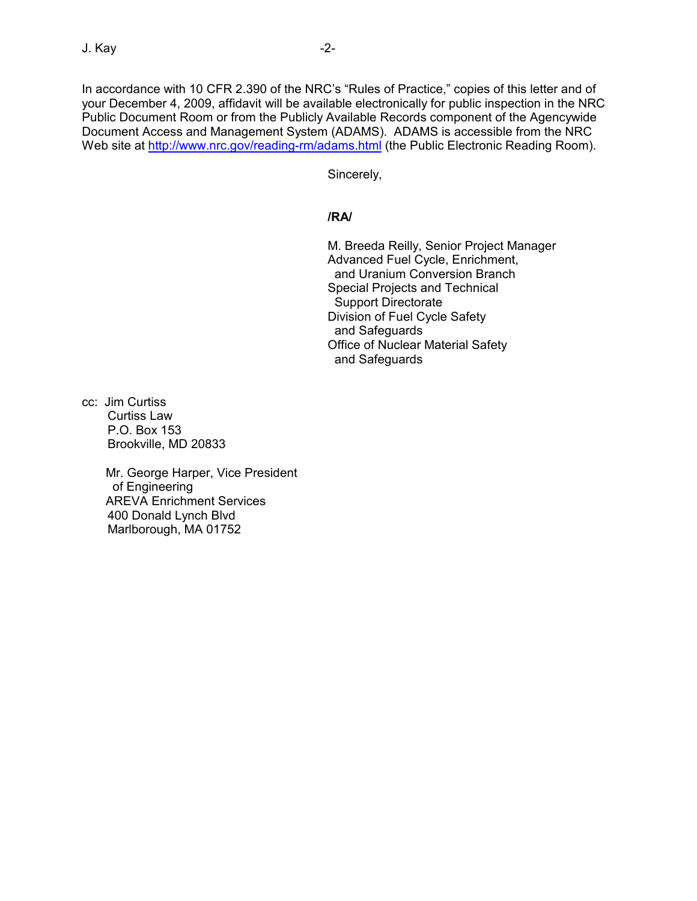In accordance with 10 CFR 2.390 of the NRC's "Rules of Practice," copies of this letter and of your December 4, 2009, affidavit will be available electronically for public inspection in the NRC Public Document Room or from the Publicly Available Records component of the Agencywide Document Access and Management System (ADAMS). ADAMS is accessible from the NRC Web site at http://www.nrc.gov/reading-rm/adams.html (the Public Electronic Reading Room).

Sincerely,

# **/RA/**

M. Breeda Reilly, Senior Project Manager Advanced Fuel Cycle, Enrichment, and Uranium Conversion Branch Special Projects and Technical Support Directorate Division of Fuel Cycle Safety and Safeguards Office of Nuclear Material Safety and Safeguards

cc: Jim Curtiss Curtiss Law P.O. Box 153 Brookville, MD 20833

> Mr. George Harper, Vice President of Engineering AREVA Enrichment Services 400 Donald Lynch Blvd Marlborough, MA 01752